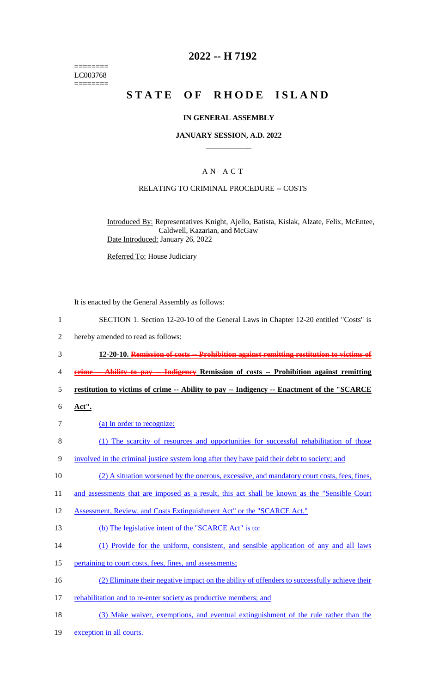======== LC003768 ========

## **2022 -- H 7192**

# **STATE OF RHODE ISLAND**

#### **IN GENERAL ASSEMBLY**

#### **JANUARY SESSION, A.D. 2022 \_\_\_\_\_\_\_\_\_\_\_\_**

#### A N A C T

#### RELATING TO CRIMINAL PROCEDURE -- COSTS

Introduced By: Representatives Knight, Ajello, Batista, Kislak, Alzate, Felix, McEntee, Caldwell, Kazarian, and McGaw Date Introduced: January 26, 2022

Referred To: House Judiciary

It is enacted by the General Assembly as follows:

- 1 SECTION 1. Section 12-20-10 of the General Laws in Chapter 12-20 entitled "Costs" is
- 2 hereby amended to read as follows:
- 3 **12-20-10. Remission of costs -- Prohibition against remitting restitution to victims of**
- 4 **crime -- Ability to pay -- Indigency Remission of costs -- Prohibition against remitting**
- 5 **restitution to victims of crime -- Ability to pay -- Indigency -- Enactment of the "SCARCE**
- 6 **Act".**
- 7 (a) In order to recognize:
- 8 (1) The scarcity of resources and opportunities for successful rehabilitation of those
- 9 involved in the criminal justice system long after they have paid their debt to society; and
- 10 (2) A situation worsened by the onerous, excessive, and mandatory court costs, fees, fines,
- 11 and assessments that are imposed as a result, this act shall be known as the "Sensible Court
- 12 Assessment, Review, and Costs Extinguishment Act" or the "SCARCE Act."
- 13 (b) The legislative intent of the "SCARCE Act" is to:
- 14 (1) Provide for the uniform, consistent, and sensible application of any and all laws
- 15 pertaining to court costs, fees, fines, and assessments;
- 16 (2) Eliminate their negative impact on the ability of offenders to successfully achieve their
- 17 rehabilitation and to re-enter society as productive members; and
- 18 (3) Make waiver, exemptions, and eventual extinguishment of the rule rather than the
- 19 exception in all courts.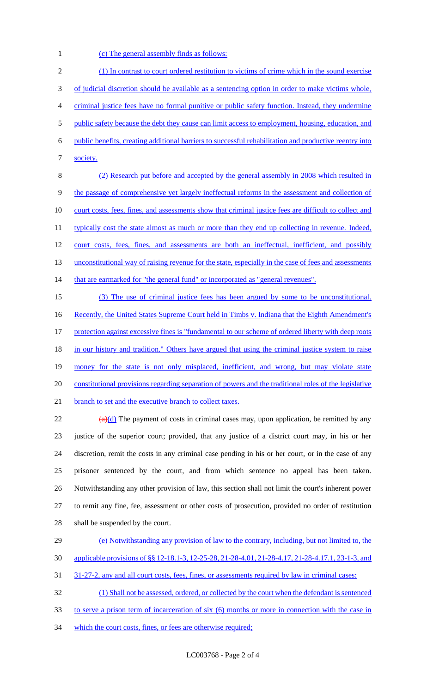1 (c) The general assembly finds as follows:

 (1) In contrast to court ordered restitution to victims of crime which in the sound exercise of judicial discretion should be available as a sentencing option in order to make victims whole, criminal justice fees have no formal punitive or public safety function. Instead, they undermine 5 public safety because the debt they cause can limit access to employment, housing, education, and public benefits, creating additional barriers to successful rehabilitation and productive reentry into 7 society. (2) Research put before and accepted by the general assembly in 2008 which resulted in

9 the passage of comprehensive yet largely ineffectual reforms in the assessment and collection of 10 court costs, fees, fines, and assessments show that criminal justice fees are difficult to collect and 11 typically cost the state almost as much or more than they end up collecting in revenue. Indeed, 12 court costs, fees, fines, and assessments are both an ineffectual, inefficient, and possibly 13 unconstitutional way of raising revenue for the state, especially in the case of fees and assessments 14 that are earmarked for "the general fund" or incorporated as "general revenues". 15 (3) The use of criminal justice fees has been argued by some to be unconstitutional.

16 Recently, the United States Supreme Court held in Timbs v. Indiana that the Eighth Amendment's 17 protection against excessive fines is "fundamental to our scheme of ordered liberty with deep roots 18 in our history and tradition." Others have argued that using the criminal justice system to raise 19 money for the state is not only misplaced, inefficient, and wrong, but may violate state 20 constitutional provisions regarding separation of powers and the traditional roles of the legislative 21 branch to set and the executive branch to collect taxes.

 $(a)(d)$  The payment of costs in criminal cases may, upon application, be remitted by any justice of the superior court; provided, that any justice of a district court may, in his or her discretion, remit the costs in any criminal case pending in his or her court, or in the case of any prisoner sentenced by the court, and from which sentence no appeal has been taken. Notwithstanding any other provision of law, this section shall not limit the court's inherent power to remit any fine, fee, assessment or other costs of prosecution, provided no order of restitution shall be suspended by the court.

- 29 (e) Notwithstanding any provision of law to the contrary, including, but not limited to, the 30 applicable provisions of §§ 12-18.1-3, 12-25-28, 21-28-4.01, 21-28-4.17, 21-28-4.17.1, 23-1-3, and
- 31 31-27-2, any and all court costs, fees, fines, or assessments required by law in criminal cases:

32 (1) Shall not be assessed, ordered, or collected by the court when the defendant is sentenced

- 33 to serve a prison term of incarceration of six (6) months or more in connection with the case in
- 34 which the court costs, fines, or fees are otherwise required;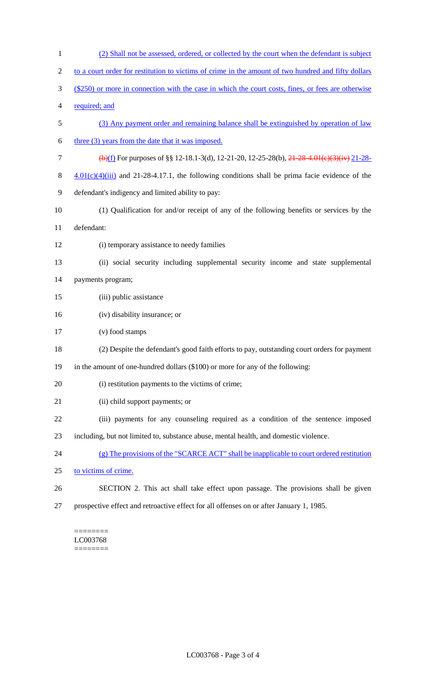| $\mathbf{1}$   | (2) Shall not be assessed, ordered, or collected by the court when the defendant is subject                               |
|----------------|---------------------------------------------------------------------------------------------------------------------------|
| $\overline{2}$ | to a court order for restitution to victims of crime in the amount of two hundred and fifty dollars                       |
| 3              | (\$250) or more in connection with the case in which the court costs, fines, or fees are otherwise                        |
| 4              | required; and                                                                                                             |
| 5              | (3) Any payment order and remaining balance shall be extinguished by operation of law                                     |
| 6              | three (3) years from the date that it was imposed.                                                                        |
| $\tau$         | $\left(\frac{1}{2}\right)$ For purposes of §§ 12-18.1-3(d), 12-21-20, 12-25-28(b), <del>21-28-4.01(e)(3)(iv)</del> 21-28- |
| 8              | $4.01(c)(4)(iii)$ and 21-28-4.17.1, the following conditions shall be prima facie evidence of the                         |
| 9              | defendant's indigency and limited ability to pay:                                                                         |
| 10             | (1) Qualification for and/or receipt of any of the following benefits or services by the                                  |
| 11             | defendant:                                                                                                                |
| 12             | (i) temporary assistance to needy families                                                                                |
| 13             | (ii) social security including supplemental security income and state supplemental                                        |
| 14             | payments program;                                                                                                         |
| 15             | (iii) public assistance                                                                                                   |
| 16             | (iv) disability insurance; or                                                                                             |
| 17             | (v) food stamps                                                                                                           |
| 18             | (2) Despite the defendant's good faith efforts to pay, outstanding court orders for payment                               |
| 19             | in the amount of one-hundred dollars (\$100) or more for any of the following:                                            |
| 20             | (i) restitution payments to the victims of crime;                                                                         |
| 21             | (ii) child support payments; or                                                                                           |
| 22             | (iii) payments for any counseling required as a condition of the sentence imposed                                         |
| 23             | including, but not limited to, substance abuse, mental health, and domestic violence.                                     |
| 24             | (g) The provisions of the "SCARCE ACT" shall be inapplicable to court ordered restitution                                 |
| 25             | to victims of crime.                                                                                                      |
| 26             | SECTION 2. This act shall take effect upon passage. The provisions shall be given                                         |
| 27             | prospective effect and retroactive effect for all offenses on or after January 1, 1985.                                   |

======== LC003768 ========